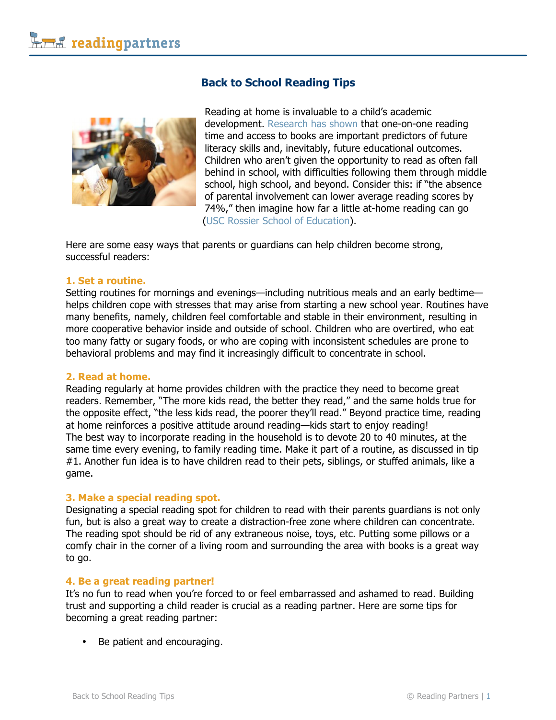# **Back to School Reading Tips**



Reading at home is invaluable to a child's academic development. Research has shown that one-on-one reading time and access to books are important predictors of future literacy skills and, inevitably, future educational outcomes. Children who aren't given the opportunity to read as often fall behind in school, with difficulties following them through middle school, high school, and beyond. Consider this: if "the absence of parental involvement can lower average reading scores by 74%," then imagine how far a little at-home reading can go (USC Rossier School of Education).

Here are some easy ways that parents or guardians can help children become strong, successful readers:

### **1. Set a routine.**

Setting routines for mornings and evenings—including nutritious meals and an early bedtime helps children cope with stresses that may arise from starting a new school year. Routines have many benefits, namely, children feel comfortable and stable in their environment, resulting in more cooperative behavior inside and outside of school. Children who are overtired, who eat too many fatty or sugary foods, or who are coping with inconsistent schedules are prone to behavioral problems and may find it increasingly difficult to concentrate in school.

#### **2. Read at home.**

Reading regularly at home provides children with the practice they need to become great readers. Remember, "The more kids read, the better they read," and the same holds true for the opposite effect, "the less kids read, the poorer they'll read." Beyond practice time, reading at home reinforces a positive attitude around reading—kids start to enjoy reading! The best way to incorporate reading in the household is to devote 20 to 40 minutes, at the same time every evening, to family reading time. Make it part of a routine, as discussed in tip #1. Another fun idea is to have children read to their pets, siblings, or stuffed animals, like a game.

### **3. Make a special reading spot.**

Designating a special reading spot for children to read with their parents guardians is not only fun, but is also a great way to create a distraction-free zone where children can concentrate. The reading spot should be rid of any extraneous noise, toys, etc. Putting some pillows or a comfy chair in the corner of a living room and surrounding the area with books is a great way to go.

#### **4. Be a great reading partner!**

It's no fun to read when you're forced to or feel embarrassed and ashamed to read. Building trust and supporting a child reader is crucial as a reading partner. Here are some tips for becoming a great reading partner:

• Be patient and encouraging.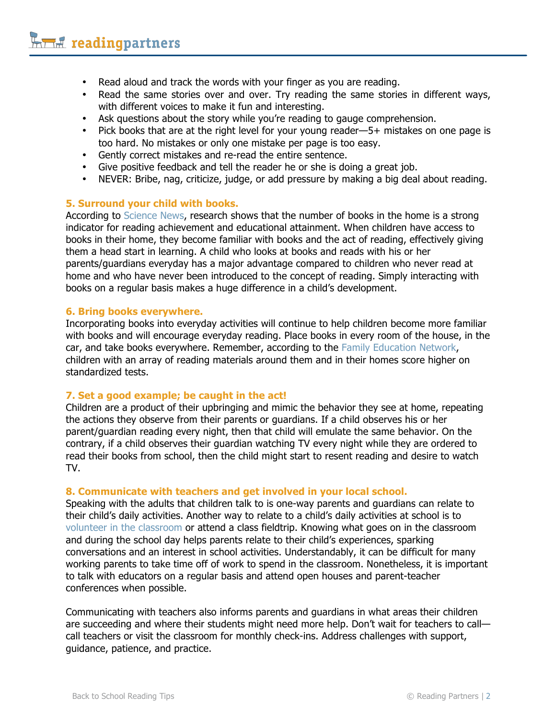- Read aloud and track the words with your finger as you are reading.
- Read the same stories over and over. Try reading the same stories in different ways, with different voices to make it fun and interesting.
- Ask questions about the story while you're reading to gauge comprehension.
- Pick books that are at the right level for your young reader—5+ mistakes on one page is too hard. No mistakes or only one mistake per page is too easy.
- Gently correct mistakes and re-read the entire sentence.
- Give positive feedback and tell the reader he or she is doing a great job.
- NEVER: Bribe, nag, criticize, judge, or add pressure by making a big deal about reading.

### **5. Surround your child with books.**

According to Science News, research shows that the number of books in the home is a strong indicator for reading achievement and educational attainment. When children have access to books in their home, they become familiar with books and the act of reading, effectively giving them a head start in learning. A child who looks at books and reads with his or her parents/guardians everyday has a major advantage compared to children who never read at home and who have never been introduced to the concept of reading. Simply interacting with books on a regular basis makes a huge difference in a child's development.

### **6. Bring books everywhere.**

Incorporating books into everyday activities will continue to help children become more familiar with books and will encourage everyday reading. Place books in every room of the house, in the car, and take books everywhere. Remember, according to the Family Education Network, children with an array of reading materials around them and in their homes score higher on standardized tests.

## **7. Set a good example; be caught in the act!**

Children are a product of their upbringing and mimic the behavior they see at home, repeating the actions they observe from their parents or guardians. If a child observes his or her parent/guardian reading every night, then that child will emulate the same behavior. On the contrary, if a child observes their guardian watching TV every night while they are ordered to read their books from school, then the child might start to resent reading and desire to watch TV.

### **8. Communicate with teachers and get involved in your local school.**

Speaking with the adults that children talk to is one-way parents and guardians can relate to their child's daily activities. Another way to relate to a child's daily activities at school is to volunteer in the classroom or attend a class fieldtrip. Knowing what goes on in the classroom and during the school day helps parents relate to their child's experiences, sparking conversations and an interest in school activities. Understandably, it can be difficult for many working parents to take time off of work to spend in the classroom. Nonetheless, it is important to talk with educators on a regular basis and attend open houses and parent-teacher conferences when possible.

Communicating with teachers also informs parents and guardians in what areas their children are succeeding and where their students might need more help. Don't wait for teachers to call call teachers or visit the classroom for monthly check-ins. Address challenges with support, guidance, patience, and practice.